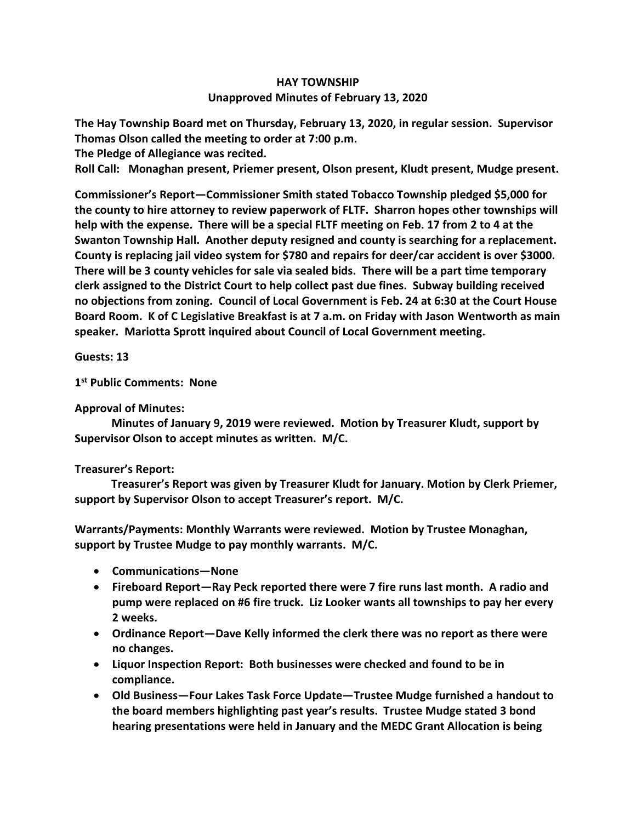## **HAY TOWNSHIP Unapproved Minutes of February 13, 2020**

**The Hay Township Board met on Thursday, February 13, 2020, in regular session. Supervisor Thomas Olson called the meeting to order at 7:00 p.m.** 

**The Pledge of Allegiance was recited.** 

**Roll Call: Monaghan present, Priemer present, Olson present, Kludt present, Mudge present.**

**Commissioner's Report—Commissioner Smith stated Tobacco Township pledged \$5,000 for the county to hire attorney to review paperwork of FLTF. Sharron hopes other townships will help with the expense. There will be a special FLTF meeting on Feb. 17 from 2 to 4 at the Swanton Township Hall. Another deputy resigned and county is searching for a replacement. County is replacing jail video system for \$780 and repairs for deer/car accident is over \$3000. There will be 3 county vehicles for sale via sealed bids. There will be a part time temporary clerk assigned to the District Court to help collect past due fines. Subway building received no objections from zoning. Council of Local Government is Feb. 24 at 6:30 at the Court House Board Room. K of C Legislative Breakfast is at 7 a.m. on Friday with Jason Wentworth as main speaker. Mariotta Sprott inquired about Council of Local Government meeting.**

**Guests: 13**

**1 st Public Comments: None**

**Approval of Minutes:**

 **Minutes of January 9, 2019 were reviewed. Motion by Treasurer Kludt, support by Supervisor Olson to accept minutes as written. M/C.**

## **Treasurer's Report:**

 **Treasurer's Report was given by Treasurer Kludt for January. Motion by Clerk Priemer, support by Supervisor Olson to accept Treasurer's report. M/C.**

**Warrants/Payments: Monthly Warrants were reviewed. Motion by Trustee Monaghan, support by Trustee Mudge to pay monthly warrants. M/C.**

- **Communications—None**
- **Fireboard Report—Ray Peck reported there were 7 fire runs last month. A radio and pump were replaced on #6 fire truck. Liz Looker wants all townships to pay her every 2 weeks.**
- **Ordinance Report—Dave Kelly informed the clerk there was no report as there were no changes.**
- **Liquor Inspection Report: Both businesses were checked and found to be in compliance.**
- **Old Business—Four Lakes Task Force Update—Trustee Mudge furnished a handout to the board members highlighting past year's results. Trustee Mudge stated 3 bond hearing presentations were held in January and the MEDC Grant Allocation is being**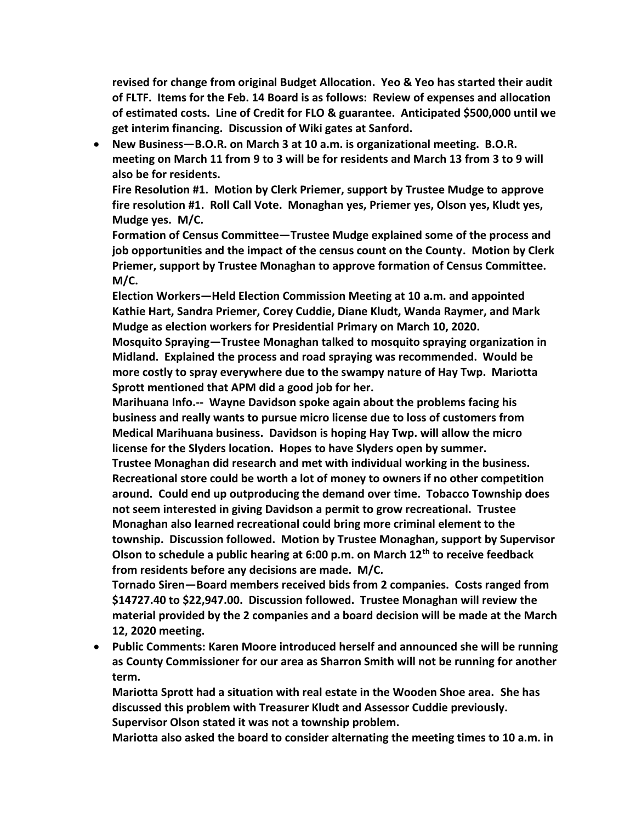**revised for change from original Budget Allocation. Yeo & Yeo has started their audit of FLTF. Items for the Feb. 14 Board is as follows: Review of expenses and allocation of estimated costs. Line of Credit for FLO & guarantee. Anticipated \$500,000 until we get interim financing. Discussion of Wiki gates at Sanford.**

• **New Business—B.O.R. on March 3 at 10 a.m. is organizational meeting. B.O.R. meeting on March 11 from 9 to 3 will be for residents and March 13 from 3 to 9 will also be for residents.**

**Fire Resolution #1. Motion by Clerk Priemer, support by Trustee Mudge to approve fire resolution #1. Roll Call Vote. Monaghan yes, Priemer yes, Olson yes, Kludt yes, Mudge yes. M/C.**

**Formation of Census Committee—Trustee Mudge explained some of the process and job opportunities and the impact of the census count on the County. Motion by Clerk Priemer, support by Trustee Monaghan to approve formation of Census Committee. M/C.**

**Election Workers—Held Election Commission Meeting at 10 a.m. and appointed Kathie Hart, Sandra Priemer, Corey Cuddie, Diane Kludt, Wanda Raymer, and Mark Mudge as election workers for Presidential Primary on March 10, 2020.**

**Mosquito Spraying—Trustee Monaghan talked to mosquito spraying organization in Midland. Explained the process and road spraying was recommended. Would be more costly to spray everywhere due to the swampy nature of Hay Twp. Mariotta Sprott mentioned that APM did a good job for her.**

**Marihuana Info.-- Wayne Davidson spoke again about the problems facing his business and really wants to pursue micro license due to loss of customers from Medical Marihuana business. Davidson is hoping Hay Twp. will allow the micro license for the Slyders location. Hopes to have Slyders open by summer.** 

**Trustee Monaghan did research and met with individual working in the business. Recreational store could be worth a lot of money to owners if no other competition around. Could end up outproducing the demand over time. Tobacco Township does not seem interested in giving Davidson a permit to grow recreational. Trustee Monaghan also learned recreational could bring more criminal element to the township. Discussion followed. Motion by Trustee Monaghan, support by Supervisor Olson to schedule a public hearing at 6:00 p.m. on March 12th to receive feedback from residents before any decisions are made. M/C.**

**Tornado Siren—Board members received bids from 2 companies. Costs ranged from \$14727.40 to \$22,947.00. Discussion followed. Trustee Monaghan will review the material provided by the 2 companies and a board decision will be made at the March 12, 2020 meeting.**

• **Public Comments: Karen Moore introduced herself and announced she will be running as County Commissioner for our area as Sharron Smith will not be running for another term.** 

**Mariotta Sprott had a situation with real estate in the Wooden Shoe area. She has discussed this problem with Treasurer Kludt and Assessor Cuddie previously. Supervisor Olson stated it was not a township problem.**

**Mariotta also asked the board to consider alternating the meeting times to 10 a.m. in**